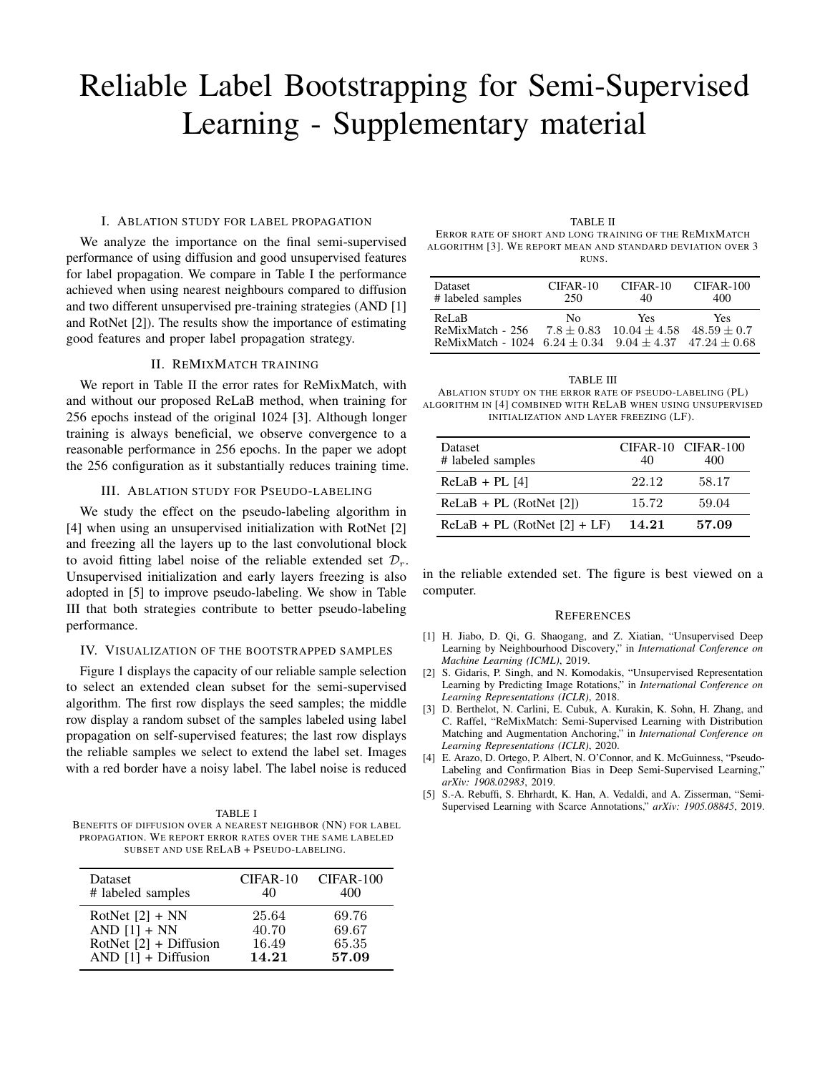# Reliable Label Bootstrapping for Semi-Supervised Learning - Supplementary material

### I. ABLATION STUDY FOR LABEL PROPAGATION

We analyze the importance on the final semi-supervised performance of using diffusion and good unsupervised features for label propagation. We compare in Table I the performance achieved when using nearest neighbours compared to diffusion and two different unsupervised pre-training strategies (AND [1] and RotNet [2]). The results show the importance of estimating good features and proper label propagation strategy.

### II. REMIXMATCH TRAINING

We report in Table II the error rates for ReMixMatch, with and without our proposed ReLaB method, when training for 256 epochs instead of the original 1024 [3]. Although longer training is always beneficial, we observe convergence to a reasonable performance in 256 epochs. In the paper we adopt the 256 configuration as it substantially reduces training time.

### III. ABLATION STUDY FOR PSEUDO-LABELING

We study the effect on the pseudo-labeling algorithm in [4] when using an unsupervised initialization with RotNet [2] and freezing all the layers up to the last convolutional block to avoid fitting label noise of the reliable extended set  $\mathcal{D}_r$ . Unsupervised initialization and early layers freezing is also adopted in [5] to improve pseudo-labeling. We show in Table III that both strategies contribute to better pseudo-labeling performance.

## IV. VISUALIZATION OF THE BOOTSTRAPPED SAMPLES

Figure 1 displays the capacity of our reliable sample selection to select an extended clean subset for the semi-supervised algorithm. The first row displays the seed samples; the middle row display a random subset of the samples labeled using label propagation on self-supervised features; the last row displays the reliable samples we select to extend the label set. Images with a red border have a noisy label. The label noise is reduced

TABLE I BENEFITS OF DIFFUSION OVER A NEAREST NEIGHBOR (NN) FOR LABEL PROPAGATION. WE REPORT ERROR RATES OVER THE SAME LABELED SUBSET AND USE RELAB + PSEUDO-LABELING.

| Dataset                  | $CIFAR-10$ | CIFAR-100 |
|--------------------------|------------|-----------|
| # labeled samples        | 40         | 400       |
| RotNet $[2]$ + NN        | 25.64      | 69.76     |
| AND $[1]$ + NN           | 40.70      | 69.67     |
| RotNet $[2]$ + Diffusion | 16.49      | 65.35     |
| AND $[1]$ + Diffusion    | 14.21      | 57.09     |

TABLE II ERROR RATE OF SHORT AND LONG TRAINING OF THE REMIXMATCH ALGORITHM [3]. WE REPORT MEAN AND STANDARD DEVIATION OVER 3 RUNS.

| Dataset                                                      | $CIFAR-10$         | $CIFAR-10$                                    | $CIFAR-100$                            |
|--------------------------------------------------------------|--------------------|-----------------------------------------------|----------------------------------------|
| # labeled samples                                            | 250                | 40                                            | 400                                    |
| ReLaB<br>ReMixMatch - 256<br>ReMixMatch - 1024 $6.24 + 0.34$ | Nο<br>$7.8 + 0.83$ | <b>Yes</b><br>$10.04 + 4.58$<br>$9.04 + 4.37$ | Yes<br>$48.59 + 0.7$<br>$47.24 + 0.68$ |

| TABLE III                                                    |
|--------------------------------------------------------------|
| ABLATION STUDY ON THE ERROR RATE OF PSEUDO-LABELING (PL)     |
| ALGORITHM IN [4] COMBINED WITH RELAB WHEN USING UNSUPERVISED |
| INITIALIZATION AND LAYER FREEZING (LF).                      |

| Dataset<br># labeled samples   | 40    | CIFAR-10 CIFAR-100<br>400 |
|--------------------------------|-------|---------------------------|
| $ReLaB + PL$ [4]               | 22.12 | 58.17                     |
| $ReLaB + PL$ (RotNet [2])      | 15.72 | 59.04                     |
| $ReLaB + PL$ (RotNet [2] + LF) | 14.21 | 57.09                     |

in the reliable extended set. The figure is best viewed on a computer.

#### **REFERENCES**

- [1] H. Jiabo, D. Qi, G. Shaogang, and Z. Xiatian, "Unsupervised Deep Learning by Neighbourhood Discovery," in *International Conference on Machine Learning (ICML)*, 2019.
- [2] S. Gidaris, P. Singh, and N. Komodakis, "Unsupervised Representation Learning by Predicting Image Rotations," in *International Conference on Learning Representations (ICLR)*, 2018.
- [3] D. Berthelot, N. Carlini, E. Cubuk, A. Kurakin, K. Sohn, H. Zhang, and C. Raffel, "ReMixMatch: Semi-Supervised Learning with Distribution Matching and Augmentation Anchoring," in *International Conference on Learning Representations (ICLR)*, 2020.
- [4] E. Arazo, D. Ortego, P. Albert, N. O'Connor, and K. McGuinness, "Pseudo-Labeling and Confirmation Bias in Deep Semi-Supervised Learning," *arXiv: 1908.02983*, 2019.
- [5] S.-A. Rebuffi, S. Ehrhardt, K. Han, A. Vedaldi, and A. Zisserman, "Semi-Supervised Learning with Scarce Annotations," *arXiv: 1905.08845*, 2019.